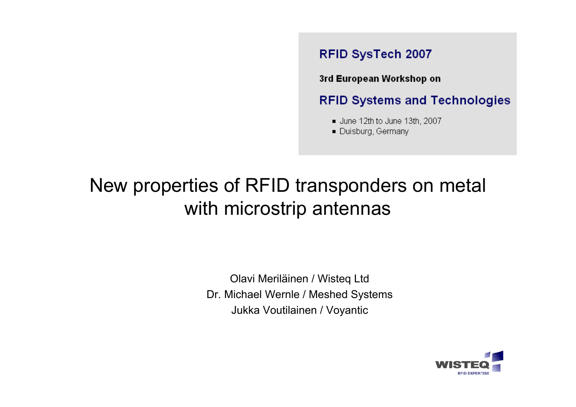#### **RFID SysTech 2007**

3rd European Workshop on

**RFID Systems and Technologies** 

- $\blacksquare$  June 12th to June 13th, 2007
- Duisburg, Germany

#### New properties of RFID transponders on metal with microstrip antennas

Olavi Meriläinen / Wisteq Ltd Dr. Michael Wernle / Meshed Systems Jukka Voutilainen / Voyantic

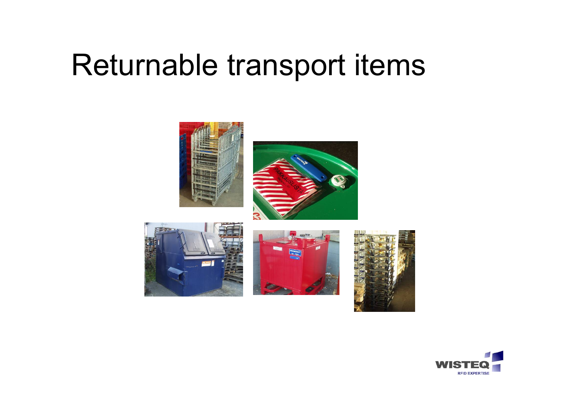### Returnable transport items











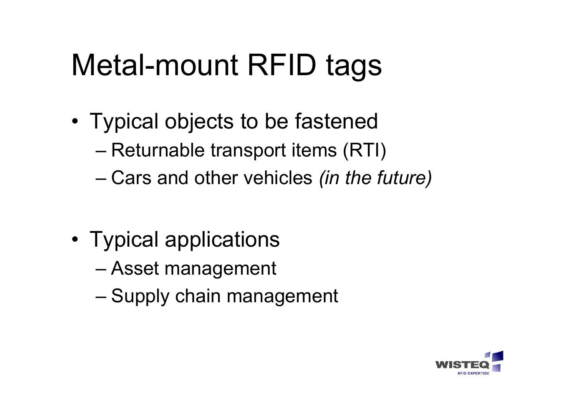### Metal-mount RFID tags

- • Typical objects to be fastened
	- –Returnable transport items (RTI)
	- Cars and other vehicles *(in the future)*
- Typical applications
	- –Asset management
	- –Supply chain management

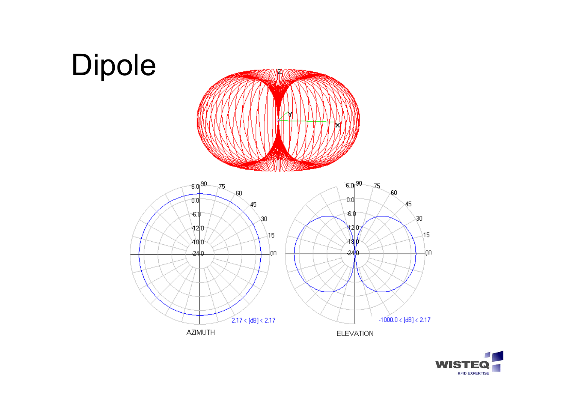### Dipole





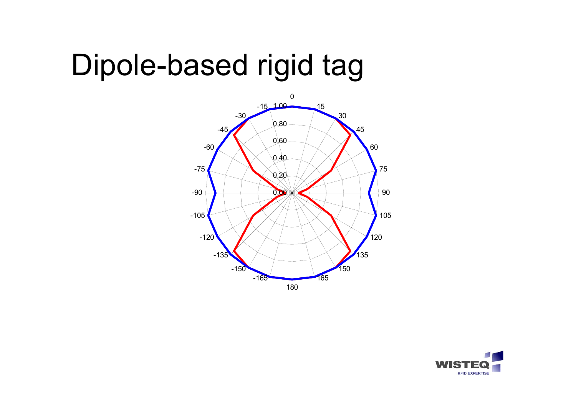### Dipole-based rigid tag



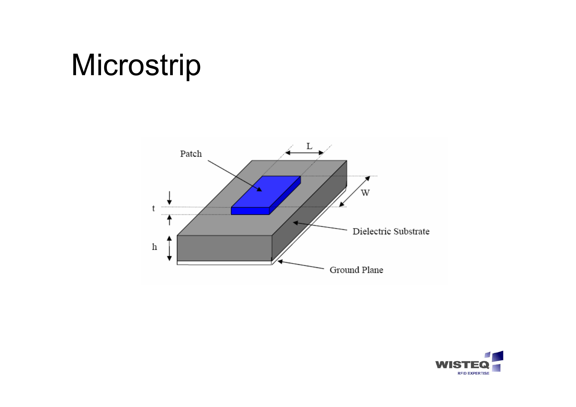### Microstrip



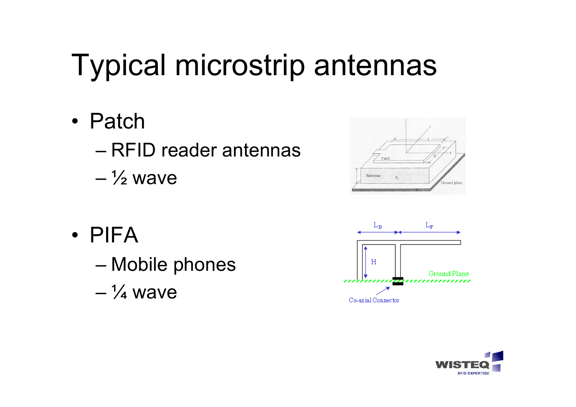### Typical microstrip antennas

- Patch
	- RFID reader antennas
	- $\frac{1}{2}$  wave
- PIFA
	- –Mobile phones
	- ¼ wave





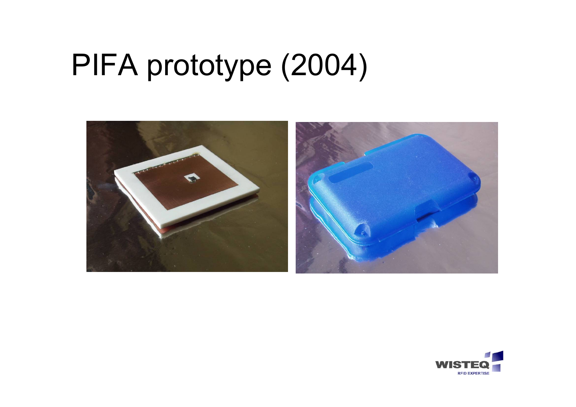### PIFA prototype (2004)



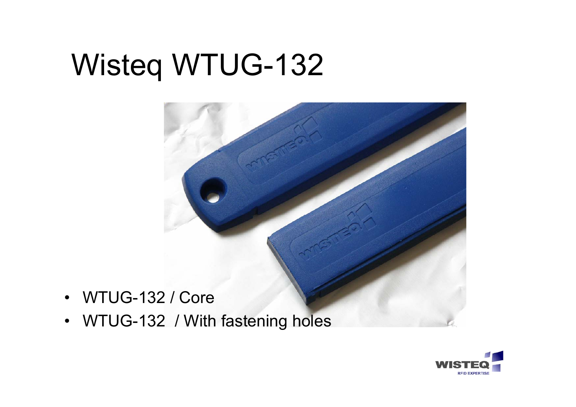### Wisteq WTUG-132

- WTUG-132 / Core
- •WTUG-132 / With fastening holes

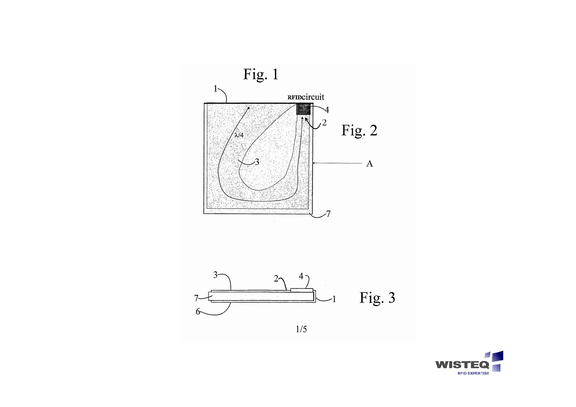

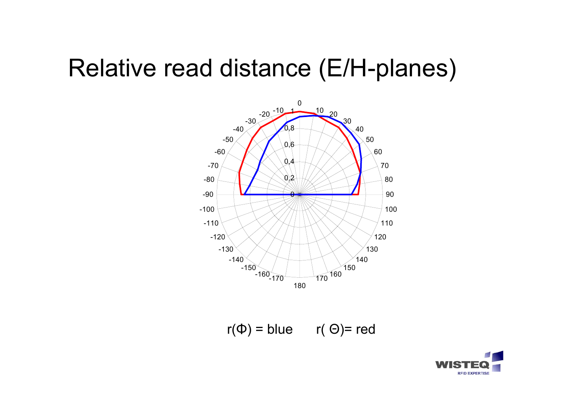### Relative read distance (E/H-planes)



 $r(\Phi) =$  blue  $r(\Theta) =$  red

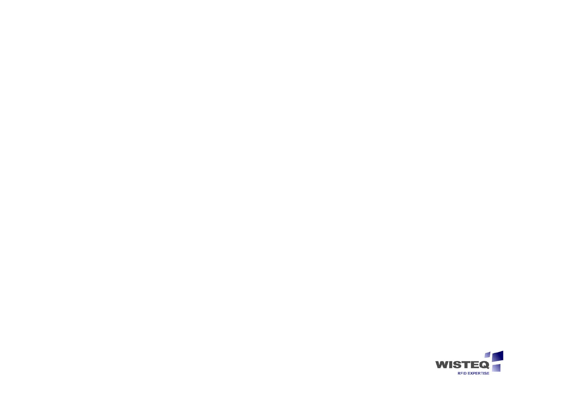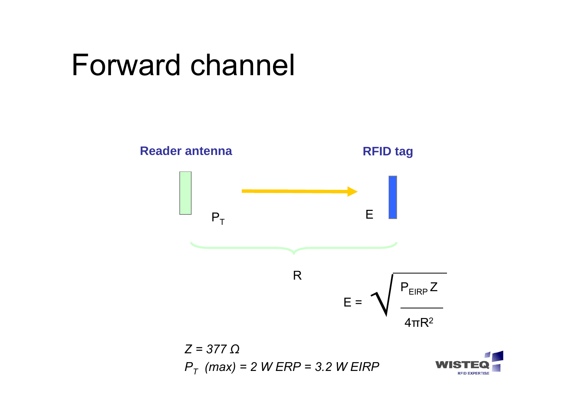### Forward channel

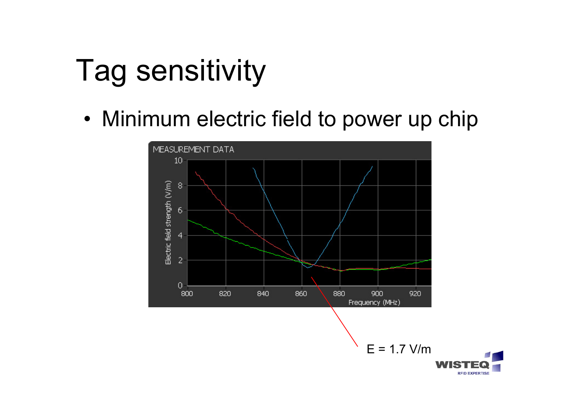## Tag sensitivity

•Minimum electric field to power up chip

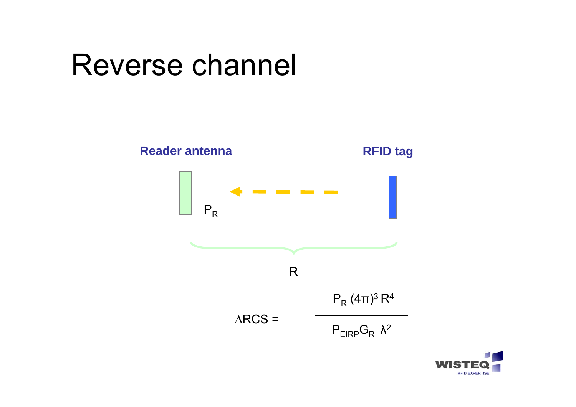### Reverse channel



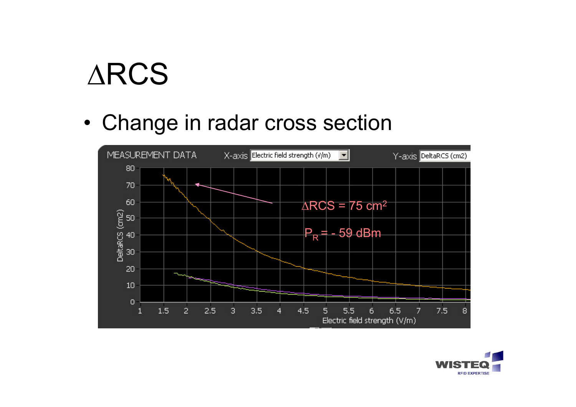### ∆RCS

•Change in radar cross section



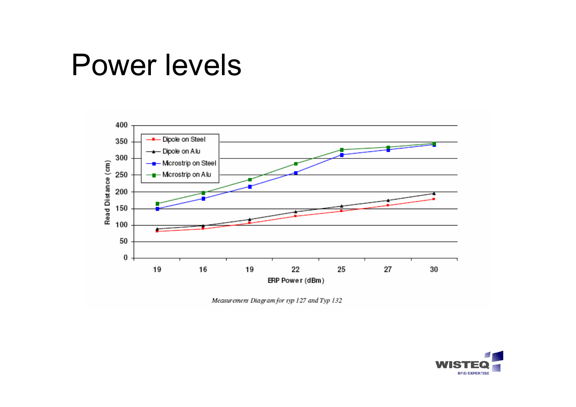### Power levels



Measurement Diagram for typ 127 and Typ 132

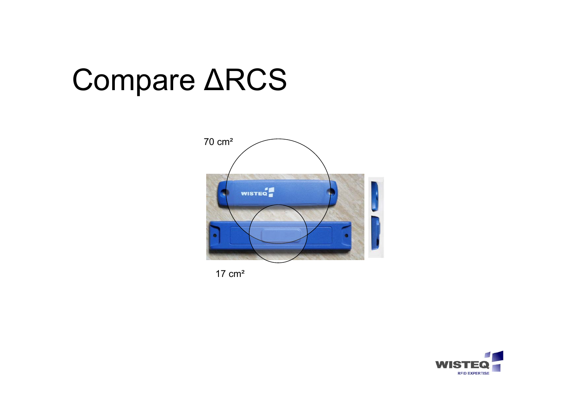### Compare ΔRCS



17 cm²

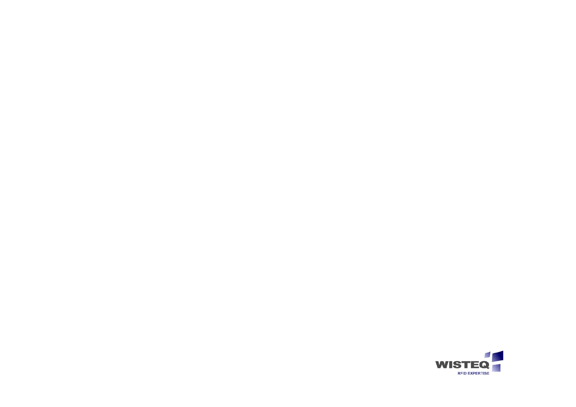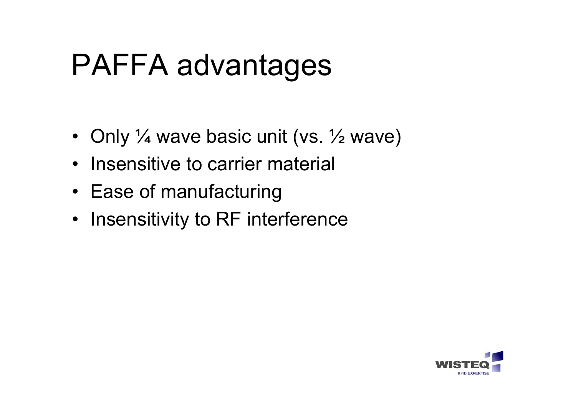### PAFFA advantages

- Only  $\frac{1}{4}$  wave basic unit (vs.  $\frac{1}{2}$  wave)
- Insensitive to carrier material
- Ease of manufacturing
- Insensitivity to RF interference